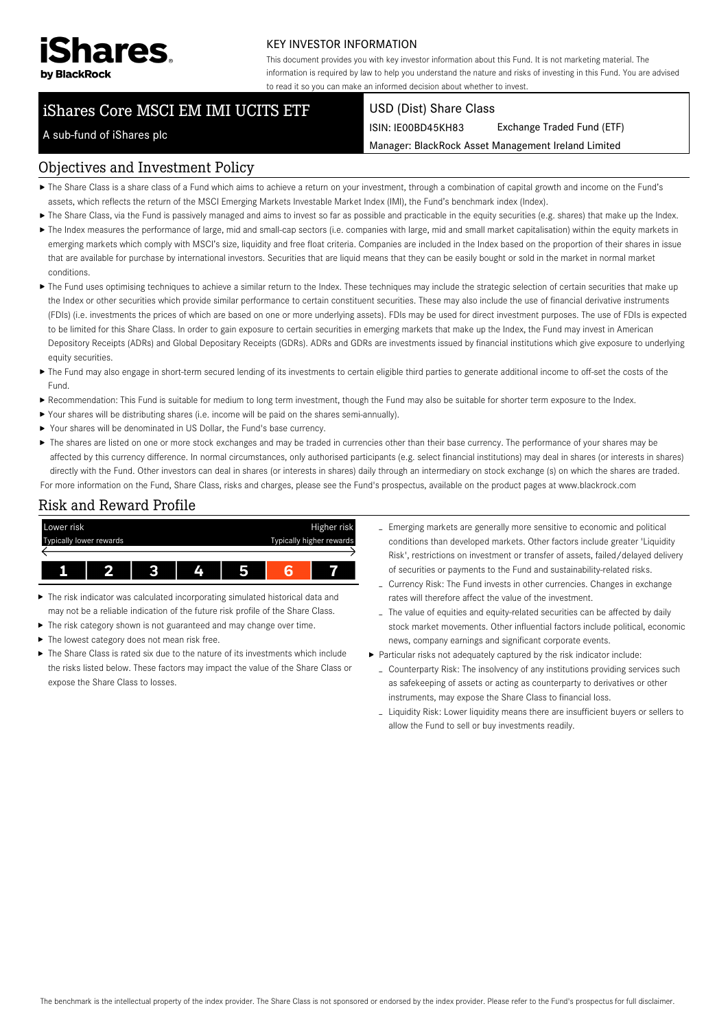

#### KEY INVESTOR INFORMATION

This document provides you with key investor information about this Fund. It is not marketing material. The information is required by law to help you understand the nature and risks of investing in this Fund. You are advised to read it so you can make an informed decision about whether to invest.

# iShares Core MSCI EM IMI UCITS ETF

#### USD (Dist) Share Class

ISIN: IE00BD45KH83 Exchange Traded Fund (ETF)

Manager: BlackRock Asset Management Ireland Limited

#### A sub-fund of iShares plc

#### Objectives and Investment Policy

- The Share Class is a share class of a Fund which aims to achieve a return on your investment, through a combination of capital growth and income on the Fund's assets, which reflects the return of the MSCI Emerging Markets Investable Market Index (IMI), the Fund's benchmark index (Index).
- ▶ The Share Class, via the Fund is passively managed and aims to invest so far as possible and practicable in the equity securities (e.g. shares) that make up the Index.
- ▶ The Index measures the performance of large, mid and small-cap sectors (i.e. companies with large, mid and small market capitalisation) within the equity markets in emerging markets which comply with MSCI's size, liquidity and free float criteria. Companies are included in the Index based on the proportion of their shares in issue that are available for purchase by international investors. Securities that are liquid means that they can be easily bought or sold in the market in normal market conditions.
- ▶ The Fund uses optimising techniques to achieve a similar return to the Index. These techniques may include the strategic selection of certain securities that make up the Index or other securities which provide similar performance to certain constituent securities. These may also include the use of financial derivative instruments (FDIs) (i.e. investments the prices of which are based on one or more underlying assets). FDIs may be used for direct investment purposes. The use of FDIs is expected to be limited for this Share Class. In order to gain exposure to certain securities in emerging markets that make up the Index, the Fund may invest in American Depository Receipts (ADRs) and Global Depositary Receipts (GDRs). ADRs and GDRs are investments issued by financial institutions which give exposure to underlying equity securities.
- ▶ The Fund may also engage in short-term secured lending of its investments to certain eligible third parties to generate additional income to off-set the costs of the Fund.
- Recommendation: This Fund is suitable for medium to long term investment, though the Fund may also be suitable for shorter term exposure to the Index.
- Your shares will be distributing shares (i.e. income will be paid on the shares semi-annually).
- Your shares will be denominated in US Dollar, the Fund's base currency.
- ▶ The shares are listed on one or more stock exchanges and may be traded in currencies other than their base currency. The performance of your shares may be affected by this currency difference. In normal circumstances, only authorised participants (e.g. select financial institutions) may deal in shares (or interests in shares) directly with the Fund. Other investors can deal in shares (or interests in shares) daily through an intermediary on stock exchange (s) on which the shares are traded. For more information on the Fund, Share Class, risks and charges, please see the Fund's prospectus, available on the product pages at www.blackrock.com

## Risk and Reward Profile



- The risk indicator was calculated incorporating simulated historical data and ь may not be a reliable indication of the future risk profile of the Share Class.
- The risk category shown is not guaranteed and may change over time.
- The lowest category does not mean risk free. ь
- $\triangleright$  The Share Class is rated six due to the nature of its investments which include the risks listed below. These factors may impact the value of the Share Class or expose the Share Class to losses.
- Emerging markets are generally more sensitive to economic and political conditions than developed markets. Other factors include greater 'Liquidity Risk', restrictions on investment or transfer of assets, failed/delayed delivery of securities or payments to the Fund and sustainability-related risks.
- Currency Risk: The Fund invests in other currencies. Changes in exchange rates will therefore affect the value of the investment.
- The value of equities and equity-related securities can be affected by daily stock market movements. Other influential factors include political, economic news, company earnings and significant corporate events.
- Particular risks not adequately captured by the risk indicator include:
	- Counterparty Risk: The insolvency of any institutions providing services such as safekeeping of assets or acting as counterparty to derivatives or other instruments, may expose the Share Class to financial loss.
	- Liquidity Risk: Lower liquidity means there are insufficient buyers or sellers to allow the Fund to sell or buy investments readily.